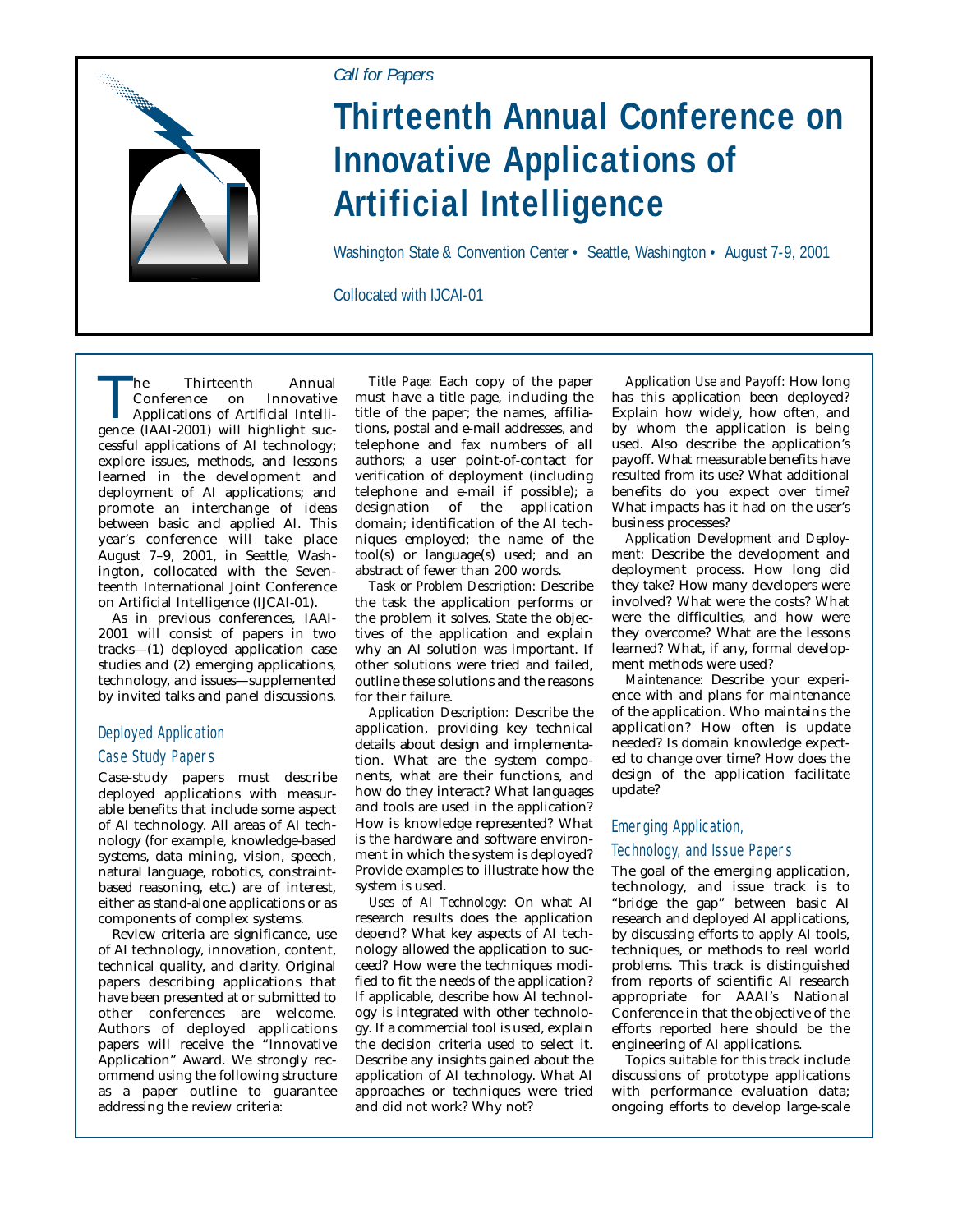

### *Call for Papers*

# **Thirteenth Annual Conference on Innovative Applications of Artificial Intelligence**

Washington State & Convention Center • Seattle, Washington • August 7-9, 2001

Collocated with IJCAI-01

The Thirteenth Annual<br>
Conference on Innovative<br>
Applications of Artificial Intelli-<br>
Sence (IAAI-2001) will highlight suc-Conference on Innovative gence (IAAI-2001) will highlight successful applications of AI technology; explore issues, methods, and lessons learned in the development and deployment of AI applications; and promote an interchange of ideas between basic and applied AI. This year's conference will take place August 7–9, 2001, in Seattle, Washington, collocated with the Seventeenth International Joint Conference on Artificial Intelligence (IJCAI-01).

As in previous conferences, IAAI-2001 will consist of papers in two tracks—(1) deployed application case studies and (2) emerging applications, technology, and issues—supplemented by invited talks and panel discussions.

## Deployed Application Case Study Papers

Case-study papers must describe deployed applications with measurable benefits that include some aspect of AI technology. All areas of AI technology (for example, knowledge-based systems, data mining, vision, speech, natural language, robotics, constraintbased reasoning, etc.) are of interest, either as stand-alone applications or as components of complex systems.

Review criteria are significance, use of AI technology, innovation, content, technical quality, and clarity. Original papers describing applications that have been presented at or submitted to other conferences are welcome. Authors of deployed applications papers will receive the "Innovative Application" Award. We strongly recommend using the following structure as a paper outline to guarantee addressing the review criteria:

*Title Page:* Each copy of the paper must have a title page, including the title of the paper; the names, affiliations, postal and e-mail addresses, and telephone and fax numbers of all authors; a user point-of-contact for verification of deployment (including telephone and e-mail if possible); a designation of the application domain; identification of the AI techniques employed; the name of the tool(s) or language(s) used; and an abstract of fewer than 200 words.

*Task or Problem Description:* Describe the task the application performs or the problem it solves. State the objectives of the application and explain why an AI solution was important. If other solutions were tried and failed, outline these solutions and the reasons for their failure.

*Application Description:* Describe the application, providing key technical details about design and implementation. What are the system components, what are their functions, and how do they interact? What languages and tools are used in the application? How is knowledge represented? What is the hardware and software environment in which the system is deployed? Provide examples to illustrate how the system is used.

*Uses of AI Technology:* On what AI research results does the application depend? What key aspects of AI technology allowed the application to succeed? How were the techniques modified to fit the needs of the application? If applicable, describe how AI technology is integrated with other technology. If a commercial tool is used, explain the decision criteria used to select it. Describe any insights gained about the application of AI technology. What AI approaches or techniques were tried and did not work? Why not?

*Application Use and Payoff:* How long has this application been deployed? Explain how widely, how often, and by whom the application is being used. Also describe the application's payoff. What measurable benefits have resulted from its use? What additional benefits do you expect over time? What impacts has it had on the user's business processes?

*Application Development and Deployment:* Describe the development and deployment process. How long did they take? How many developers were involved? What were the costs? What were the difficulties, and how were they overcome? What are the lessons learned? What, if any, formal development methods were used?

*Maintenance:* Describe your experience with and plans for maintenance of the application. Who maintains the application? How often is update needed? Is domain knowledge expected to change over time? How does the design of the application facilitate update?

#### Emerging Application,

#### Technology, and Issue Papers

The goal of the emerging application, technology, and issue track is to "bridge the gap" between basic AI research and deployed AI applications, by discussing efforts to apply AI tools, techniques, or methods to real world problems. This track is distinguished from reports of scientific AI research appropriate for AAAI's National Conference in that the objective of the efforts reported here should be the engineering of AI applications.

Topics suitable for this track include discussions of prototype applications with performance evaluation data; ongoing efforts to develop large-scale